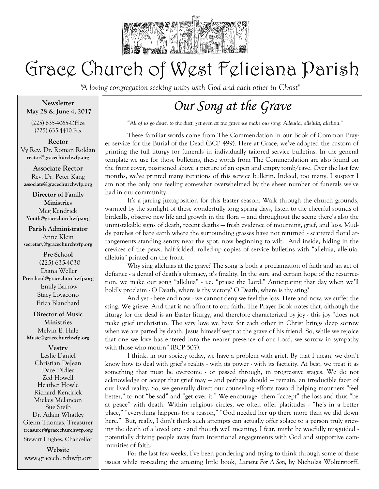

# Grace Church of West Feliciana Parish

*"A loving congregation seeking unity with God and each other in Christ"* 

**Newsletter May 28 & June 4, 2017**

(225) 635-4065-Office (225) 635-4410-Fax

**Rector** Vy Rev. Dr. Roman Roldan **rector@gracechurchwfp.org**

**Associate Rector** Rev. Dr. Peter Kang **associate@gracechurchwfp.org**

**Director of Family Ministries** Meg Kendrick **Youth@gracechurchwfp.org**

**Parish Administrator** Anne Klein **secretary@gracechurchwfp.org**

**Pre-School** (225) 635-4030 Diana Weller **Preschool@gracechurchwfp.org**  Emily Barrow Stacy Loyacono Erica Blanchard

**Director of Music Ministries** Melvin E. Hale **Music@gracechurchwfp.org**

**Vestry** Leslie Daniel Christian DeJean Dare Didier Zed Howell Heather Howle Richard Kendrick Mickey Melancon Sue Steib Dr. Adam Whatley Glenn Thomas, Treasurer **treasurer@gracechurchwfp.org**

Stewart Hughes, Chancellor

**Website**  www.gracechurchwfp.org

## *Our Song at the Grave*

"*All of us go down to the dust; yet even at the grave we make our song: Alleluia, alleluia, alleluia."*

These familiar words come from The Commendation in our Book of Common Prayer service for the Burial of the Dead (BCP 499). Here at Grace, we've adopted the custom of printing the full liturgy for funerals in individually tailored service bulletins. In the general template we use for those bulletins, these words from The Commendation are also found on the front cover, positioned above a picture of an open and empty tomb/cave. Over the last few months, we've printed many iterations of this service bulletin. Indeed, too many. I suspect I am not the only one feeling somewhat overwhelmed by the sheer number of funerals we've had in our community.

It's a jarring juxtaposition for this Easter season. Walk through the church grounds, warmed by the sunlight of these wonderfully long spring days, listen to the cheerful sounds of birdcalls, observe new life and growth in the flora — and throughout the scene there's also the unmistakable signs of death, recent deaths — fresh evidence of mourning, grief, and loss. Muddy patches of bare earth where the surrounding grasses have not returned - scattered floral arrangements standing sentry near the spot, now beginning to wilt. And inside, hiding in the crevices of the pews, half-folded, rolled-up copies of service bulletins with "alleluia, alleluia, alleluia" printed on the front.

Why sing alleluias at the grave? The song is both a proclamation of faith and an act of defiance - a denial of death's ultimacy, it's finality. In the sure and certain hope of the resurrection, we make our song "alleluia" - i.e. "praise the Lord." Anticipating that day when we'll boldly proclaim - O Death, where is thy victory? O Death, where is thy sting?

And yet - here and now - we cannot deny we feel the loss. Here and now, we suffer the sting. We grieve. And that is no affront to our faith. The Prayer Book notes that, although the liturgy for the dead is an Easter liturgy, and therefore characterized by joy - this joy "does not make grief unchristian. The very love we have for each other in Christ brings deep sorrow when we are parted by death. Jesus himself wept at the grave of his friend. So, while we rejoice that one we love has entered into the nearer presence of our Lord, we sorrow in sympathy with those who mourn" (BCP 507).

I think, in our society today, we have a problem with grief. By that I mean, we don't know how to deal with grief's reality - with its power - with its facticity. At best, we treat it as something that must be overcome - or passed through, in progressive stages. We do not acknowledge or accept that grief may — and perhaps should — remain, an irreducible facet of our lived reality. So, we generally direct our counseling efforts toward helping mourners "feel better," to not "be sad" and "get over it." We encourage them "accept" the loss and thus "be at peace" with death. Within religious circles, we often offer platitudes - "he's in a better place," "everything happens for a reason," "God needed her up there more than we did down here." But, really, I don't think such attempts can actually offer solace to a person truly grieving the death of a loved one - and though well meaning, I fear, might be woefully misguided potentially driving people away from intentional engagements with God and supportive communities of faith.

For the last few weeks, I've been pondering and trying to think through some of these issues while re-reading the amazing little book, *Lament For A Son,* by Nicholas Wolterstorff.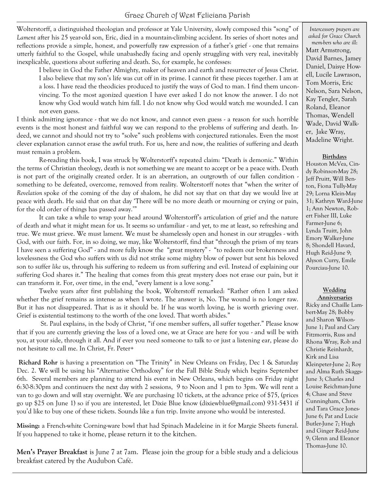Grace Church of West Feliciana Parish

Wolterstorff, a distinguished theologian and professor at Yale University, slowly composed this "song" of *Lament* after his 25 year-old son, Eric, died in a mountain-climbing accident. Its series of short notes and reflections provide a simple, honest, and powerfully raw expression of a father's grief - one that remains utterly faithful to the Gospel, while unabashedly facing and openly struggling with very real, inevitably inexplicable, questions about suffering and death. So, for example, he confesses:

I believe in God the Father Almighty, maker of heaven and earth and resurrecter of Jesus Christ. I also believe that my son's life was cut off in its prime. I cannot fit these pieces together. I am at a loss. I have read the theodicies produced to justify the ways of God to man. I find them unconvincing. To the most agonized question I have ever asked I do not know the answer. I do not know why God would watch him fall. I do not know why God would watch me wounded. I can not even guess.

I think admitting ignorance - that we do not know, and cannot even guess - a reason for such horrible events is the most honest and faithful way we can respond to the problems of suffering and death. Indeed, we cannot and should not try to "solve" such problems with conjectured rationales. Even the most clever explanation cannot erase the awful truth. For us, here and now, the realities of suffering and death must remain a problem.

Re-reading this book, I was struck by Wolterstorff's repeated claim: "Death is demonic." Within the terms of Christian theology, death is not something we are meant to accept or be a peace with. Death is not part of the originally created order. It is an aberration, an outgrowth of our fallen condition something to be defeated, overcome, removed from reality. Wolterstorff notes that "when the writer of *Revelation* spoke of the coming of the day of shalom, he did not say that on that day we would live at peace with death. He said that on that day 'There will be no more death or mourning or crying or pain, for the old order of things has passed away.'"

It can take a while to wrap your head around Wolterstorff's articulation of grief and the nature of death and what it might mean for us. It seems so unfamiliar - and yet, to me at least, so refreshing and true. We must grieve. We must lament. We must be shamelessly open and honest in our struggles - with God, with our faith. For, in so doing, we may, like Wolterstorff, find that "through the prism of my tears I have seen a suffering God" - and more fully know the "great mystery" - "to redeem our brokenness and lovelessness the God who suffers with us did not strike some mighty blow of power but sent his beloved son to suffer *like* us, through his suffering to redeem us from suffering and evil. Instead of explaining our suffering God shares it." The healing that comes from this great mystery does not erase our pain, but it can transform it. For, over time, in the end, "every lament is a love song."

Twelve years after first publishing the book, Wolterstoff remarked: "Rather often I am asked whether the grief remains as intense as when I wrote. The answer is, No. The wound is no longer raw. But it has not disappeared. That is as it should be. If he was worth loving, he is worth grieving over. Grief is existential testimony to the worth of the one loved. That worth abides."

St. Paul explains, in the body of Christ, "if one member suffers, all suffer together." Please know that if you are currently grieving the loss of a loved one, we at Grace are here for you - and will be with you, at your side, through it all. And if ever you need someone to talk to or just a listening ear, please do not hesitate to call me. In Christ, Fr. Peter+

**Richard Rohr** is having a presentation on "The Trinity" in New Orleans on Friday, Dec 1 & Saturday Dec. 2. We will be using his "Alternative Orthodoxy" for the Fall Bible Study which begins September 6th. Several members are planning to attend his event in New Orleans, which begins on Friday night 6:30-8:30pm and continuers the next day with 2 sessions, 9 to Noon and 1 pm to 3pm. We will rent a van to go down and will stay overnight. We are purchasing 10 tickets, at the advance price of \$75, (prices go up \$25 on June 1) so if you are interested, let Dixie Blue know (dixiewblue@gmail.com) 931-5431 if you'd like to buy one of these tickets. Sounds like a fun trip. Invite anyone who would be interested.

**Missing:** a French-white Corning-ware bowl that had Spinach Madeleine in it for Margie Sheets funeral. If you happened to take it home, please return it to the kitchen.

**Men's Prayer Breakfast** is June 7 at 7am. Please join the group for a bible study and a delicious breakfast catered by the Audubon Café.

*Intercessory prayers are asked for Grace Church mem-bers who are ill*: Matt Armstrong, David Barnes, Jamey Daniel, Daisye Howell, Lucile Lawrason, Tom Morris, Eric Nelson, Sara Nelson, Kay Tengler, Sarah Roland, Eleanor Thomas, Wendell Wade, David Walker, Jake Wray, Madeline Wright.

#### **Birthdays**

Houston McVea, Cindy Robinson-May 28; Jeff Pruitt, Will Benton, Fiona Tully-May 29; Lorna Klein-May 31; Kathryn Ward-June 1; Ann Newton, Robert Fisher III, Luke Farmer-June 6; Lynda Truitt, John Emory Walker-June 8; Shondell Havard, Hugh Reid-June 9; Alyson Curry, Emile Pourciau-June 10.

### **Wedding**

**Anniversaries**

Ricky and Chaille Lambert-May 28; Bobby and Sharon Wilson-June 1; Paul and Cary Fitzmorris, Russ and Rhona Wray, Rob and Christie Reinhardt, Kirk and Lisa Kleinpeter-June 2; Roy and Alma Ruth Skaggs-June 3; Charles and Louise Reichman-June 4; Chase and Steve Cunningham, Chris and Tara Grace Jones-June 6; Pat and Lucie Butler-June 7; Hugh and Ginger Reid-June 9; Glenn and Eleanor Thomas-June 10.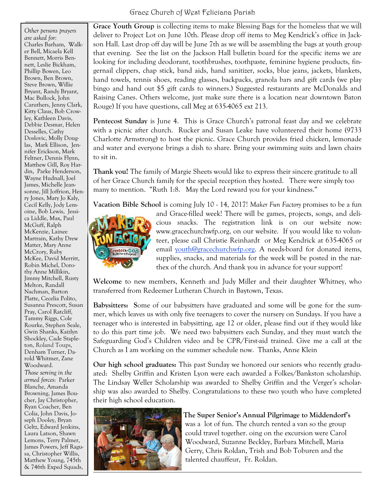*Other persons prayers are asked for:* Charles Barham, Walker Bell, Micaela Kell Bennett, Morris Bennett, Leslie Bickham, Phillip Bowen, Leo Brown, Ben Brown, Steve Brown, Willie Bryant, Randy Bryant, Mac Bullock, John Caruthers, Jenny Clark, Kitty Claus, Bob Crowley, Kathleen Davis, Debbie Desmar, Helen Desselles, Cathy Doslovic, Molly Douglas, Mark Ellison, Jennifer Erickson, Mark Feltner, Dennis Flynn, Matthew Gill, Roy Hardin, Parke Henderson, Wayne Hudnall, Joel James, Michelle Jeansonne, Jill Joffrion, Henry Jones, Mary Jo Kaly, Cecil Kelly, Jody Lemoine, Bob Lewis, Jessica Liddle, Max, Paul McGuff, Ralph McKenzie, Lainee Martrain, Kathy Drew Matter, Mary Anne McCrory, Ruby McKee, David Merritt, Robin Michel, Dorothy Anne Millikin, Jimmy Mitchell, Rusty Melton, Randall Nachman, Barton Platte, Cecelia Polito, Susanna Prescott, Susan Pray, Carol Ratcliff, Tammy Riggs, Cole Rourke, Stephen Seale, Gwin Shanks, Kaizlyn Shockley, Cade Stapleton, Roland Toups, Denham Turner, Darold Whitmer, Zane Woodward. *Those serving in the armed forces*: Parker Blanche, Amanda Browning, James Boucher, Jay Christopher, Ryan Coacher, Ben Colia, John Davis, Joseph Dooley, Bryan Geltz, Edward Jenkins, Laura Latson, Shawn Lemons, Terry Palmer, James Powers, Jeff Ragusa, Christopher Willis, Matthew Young, 745th & 746th Exped Squads,

**Grace Youth Group** is collecting items to make Blessing Bags for the homeless that we will deliver to Project Lot on June 10th. Please drop off items to Meg Kendrick's office in Jackson Hall. Last drop off day will be June 7th as we will be assembling the bags at youth group that evening. See the list on the Jackson Hall bulletin board for the specific items we are looking for including deodorant, toothbrushes, toothpaste, feminine hygiene products, fingernail clippers, chap stick, band aids, hand sanitizer, socks, blue jeans, jackets, blankets, hand towels, tennis shoes, reading glasses, backpacks, granola bars and gift cards (we play bingo and hand out \$5 gift cards to winners.) Suggested restaurants are McDonalds and Raising Canes. Others welcome, just make sure there is a location near downtown Baton Rouge) If you have questions, call Meg at 635-4065 ext 213.

**Pentecost Sunday** is June 4. This is Grace Church's patronal feast day and we celebrate with a picnic after church. Rucker and Susan Leake have volunteered their home (9733 Charlotte Armstrong) to host the picnic. Grace Church provides fried chicken, lemonade and water and everyone brings a dish to share. Bring your swimming suits and lawn chairs to sit in.

**Thank you!** The family of Margie Sheets would like to express their sincere gratitude to all of her Grace Church family for the special reception they hosted. There were simply too many to mention. "Ruth 1:8. May the Lord reward you for your kindness."

**Vacation Bible School** is coming July 10 - 14, 2017! *Maker Fun Factory* promises to be a fun



and Grace-filled week! There will be games, projects, songs, and delicious snacks. The registration link is on our website now: www.gracechurchwfp.org, on our website. If you would like to volunteer, please call Christie Reinhardt or Meg Kendrick at 635-4065 or email [youth@gracechurchwfp.org.](mailto:youth@gracechurchwfp.org) A needs-board for donated items, supplies, snacks, and materials for the week will be posted in the narthex of the church. And thank you in advance for your support!

**Welcome** to new members, Kenneth and Judy Miller and their daughter Whitney, who transferred from Redeemer Lutheran Church in Baytown, Texas.

**Babysitters: S**ome of our babysitters have graduated and some will be gone for the summer, which leaves us with only five teenagers to cover the nursery on Sundays. If you have a teenager who is interested in babysitting, age 12 or older, please find out if they would like to do this part time job. We need two babysitters each Sunday, and they must watch the Safeguarding God's Children video and be CPR/First-aid trained. Give me a call at the Church as I am working on the summer schedule now. Thanks, Anne Klein

**Our high school graduates:** This past Sunday we honored our seniors who recently graduated: Shelby Griffin and Kristen Lyon were each awarded a Folkes/Bankston scholarship. The Lindsay Weller Scholarship was awarded to Shelby Griffin and the Verger's scholarship was also awarded to Shelby. Congratulations to these two youth who have completed their high school education.



**The Super Senior's Annual Pilgrimage to Middendorf's** was a lot of fun. The church rented a van so the group could travel together. oing on the excursion were Carol Woodward, Suzanne Beckley, Barbara Mitchell, Maria Gerry, Chris Roldan, Trish and Bob Toburen and the talented chauffeur, Fr. Roldan.